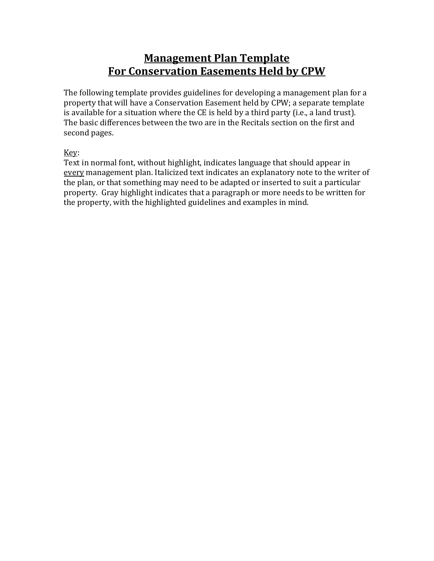# **Management Plan Template For Conservation Easements Held by CPW**

The following template provides guidelines for developing a management plan for a property that will have a Conservation Easement held by CPW; a separate template is available for a situation where the CE is held by a third party (i.e., a land trust). The basic differences between the two are in the Recitals section on the first and second pages.

Key:

Text in normal font, without highlight, indicates language that should appear in every management plan. Italicized text indicates an explanatory note to the writer of the plan, or that something may need to be adapted or inserted to suit a particular property. Gray highlight indicates that a paragraph or more needs to be written for the property, with the highlighted guidelines and examples in mind.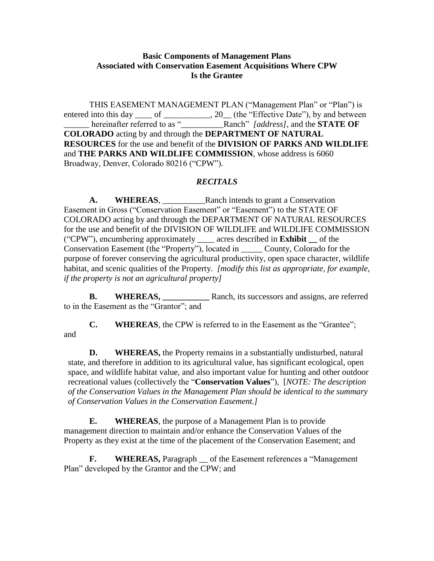### **Basic Components of Management Plans Associated with Conservation Easement Acquisitions Where CPW Is the Grantee**

THIS EASEMENT MANAGEMENT PLAN ("Management Plan" or "Plan") is entered into this day \_\_\_\_ of \_\_\_\_\_\_\_\_\_\_\_\_, 20\_\_ (the "Effective Date"), by and between \_\_\_\_\_\_ hereinafter referred to as "\_\_\_\_\_\_\_\_\_\_Ranch" *[address],* and the **STATE OF COLORADO** acting by and through the **DEPARTMENT OF NATURAL RESOURCES** for the use and benefit of the **DIVISION OF PARKS AND WILDLIFE** and **THE PARKS AND WILDLIFE COMMISSION**, whose address is 6060 Broadway, Denver, Colorado 80216 ("CPW").

#### *RECITALS*

**A. WHEREAS**, \_\_\_\_\_\_\_\_\_\_Ranch intends to grant a Conservation Easement in Gross ("Conservation Easement" or "Easement") to the STATE OF COLORADO acting by and through the DEPARTMENT OF NATURAL RESOURCES for the use and benefit of the DIVISION OF WILDLIFE and WILDLIFE COMMISSION ("CPW"), encumbering approximately \_\_\_\_ acres described in **Exhibit \_\_** of the Conservation Easement (the "Property"), located in \_\_\_\_\_ County, Colorado for the purpose of forever conserving the agricultural productivity, open space character, wildlife habitat, and scenic qualities of the Property. *[modify this list as appropriate, for example, if the property is not an agricultural property]*

**B. WHEREAS,** Ranch, its successors and assigns, are referred to in the Easement as the "Grantor"; and

**C. WHEREAS**, the CPW is referred to in the Easement as the "Grantee"; and

**D. WHEREAS,** the Property remains in a substantially undisturbed, natural state, and therefore in addition to its agricultural value, has significant ecological, open space, and wildlife habitat value, and also important value for hunting and other outdoor recreational values (collectively the "**Conservation Values**"), [*NOTE: The description of the Conservation Values in the Management Plan should be identical to the summary of Conservation Values in the Conservation Easement.]*

**E. WHEREAS**, the purpose of a Management Plan is to provide management direction to maintain and/or enhance the Conservation Values of the Property as they exist at the time of the placement of the Conservation Easement; and

**F. WHEREAS,** Paragraph \_\_ of the Easement references a "Management Plan" developed by the Grantor and the CPW; and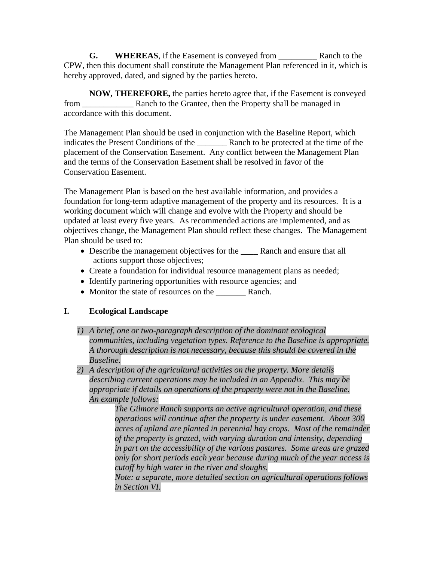**G. WHEREAS**, if the Easement is conveyed from \_\_\_\_\_\_\_\_\_ Ranch to the CPW, then this document shall constitute the Management Plan referenced in it, which is hereby approved, dated, and signed by the parties hereto.

**NOW, THEREFORE,** the parties hereto agree that, if the Easement is conveyed from \_\_\_\_\_\_\_\_\_\_\_\_ Ranch to the Grantee, then the Property shall be managed in accordance with this document.

The Management Plan should be used in conjunction with the Baseline Report, which indicates the Present Conditions of the Ranch to be protected at the time of the placement of the Conservation Easement. Any conflict between the Management Plan and the terms of the Conservation Easement shall be resolved in favor of the Conservation Easement.

The Management Plan is based on the best available information, and provides a foundation for long-term adaptive management of the property and its resources. It is a working document which will change and evolve with the Property and should be updated at least every five years. As recommended actions are implemented, and as objectives change, the Management Plan should reflect these changes. The Management Plan should be used to:

- Describe the management objectives for the Ranch and ensure that all actions support those objectives;
- Create a foundation for individual resource management plans as needed;
- Identify partnering opportunities with resource agencies; and
- Monitor the state of resources on the Ranch.

# **I. Ecological Landscape**

- *1) A brief, one or two-paragraph description of the dominant ecological communities, including vegetation types. Reference to the Baseline is appropriate. A thorough description is not necessary, because this should be covered in the Baseline.*
- *2) A description of the agricultural activities on the property. More details describing current operations may be included in an Appendix. This may be appropriate if details on operations of the property were not in the Baseline. An example follows:*

*The Gilmore Ranch supports an active agricultural operation, and these operations will continue after the property is under easement. About 300 acres of upland are planted in perennial hay crops. Most of the remainder of the property is grazed, with varying duration and intensity, depending in part on the accessibility of the various pastures. Some areas are grazed only for short periods each year because during much of the year access is cutoff by high water in the river and sloughs.*

*Note: a separate, more detailed section on agricultural operations follows in Section VI.*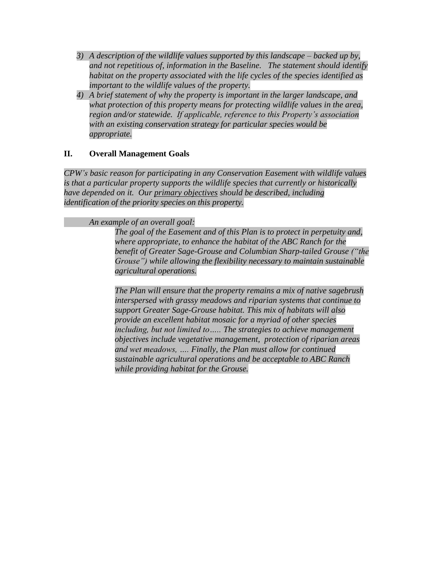- *3) A description of the wildlife values supported by this landscape – backed up by, and not repetitious of, information in the Baseline. The statement should identify habitat on the property associated with the life cycles of the species identified as important to the wildlife values of the property.*
- *4) A brief statement of why the property is important in the larger landscape, and what protection of this property means for protecting wildlife values in the area, region and/or statewide. If applicable, reference to this Property's association with an existing conservation strategy for particular species would be appropriate.*

# **II. Overall Management Goals**

*CPW's basic reason for participating in any Conservation Easement with wildlife values is that a particular property supports the wildlife species that currently or historically have depended on it. Our primary objectives should be described, including identification of the priority species on this property.* 

### *An example of an overall goal:*

*The goal of the Easement and of this Plan is to protect in perpetuity and, where appropriate, to enhance the habitat of the ABC Ranch for the benefit of Greater Sage-Grouse and Columbian Sharp-tailed Grouse ("the Grouse") while allowing the flexibility necessary to maintain sustainable agricultural operations.* 

*The Plan will ensure that the property remains a mix of native sagebrush interspersed with grassy meadows and riparian systems that continue to support Greater Sage-Grouse habitat. This mix of habitats will also provide an excellent habitat mosaic for a myriad of other species including, but not limited to….. The strategies to achieve management objectives include vegetative management, protection of riparian areas and wet meadows, …. Finally, the Plan must allow for continued sustainable agricultural operations and be acceptable to ABC Ranch while providing habitat for the Grouse.*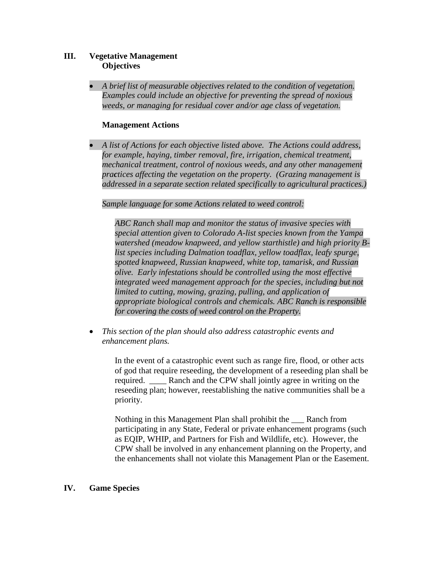### **III. Vegetative Management Objectives**

 *A brief list of measurable objectives related to the condition of vegetation. Examples could include an objective for preventing the spread of noxious weeds, or managing for residual cover and/or age class of vegetation.*

#### **Management Actions**

 *A list of Actions for each objective listed above. The Actions could address, for example, haying, timber removal, fire, irrigation, chemical treatment, mechanical treatment, control of noxious weeds, and any other management practices affecting the vegetation on the property. (Grazing management is addressed in a separate section related specifically to agricultural practices.)*

*Sample language for some Actions related to weed control:*

*ABC Ranch shall map and monitor the status of invasive species with special attention given to Colorado A-list species known from the Yampa watershed (meadow knapweed, and yellow starthistle) and high priority Blist species including Dalmation toadflax, yellow toadflax, leafy spurge, spotted knapweed, Russian knapweed, white top, tamarisk, and Russian olive. Early infestations should be controlled using the most effective integrated weed management approach for the species, including but not limited to cutting, mowing, grazing, pulling, and application of appropriate biological controls and chemicals. ABC Ranch is responsible for covering the costs of weed control on the Property.* 

 *This section of the plan should also address catastrophic events and enhancement plans.*

> In the event of a catastrophic event such as range fire, flood, or other acts of god that require reseeding, the development of a reseeding plan shall be required. Ranch and the CPW shall jointly agree in writing on the reseeding plan; however, reestablishing the native communities shall be a priority.

> Nothing in this Management Plan shall prohibit the \_\_\_ Ranch from participating in any State, Federal or private enhancement programs (such as EQIP, WHIP, and Partners for Fish and Wildlife, etc). However, the CPW shall be involved in any enhancement planning on the Property, and the enhancements shall not violate this Management Plan or the Easement.

#### **IV. Game Species**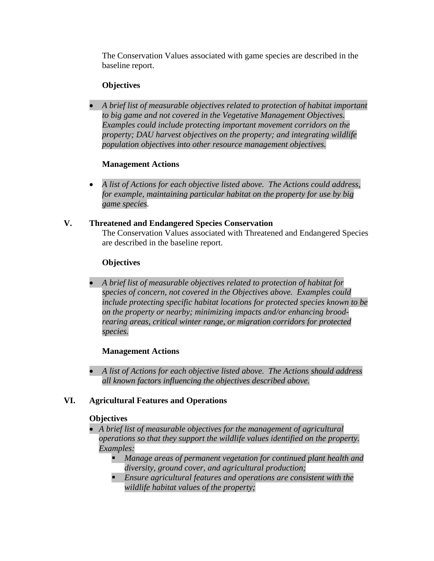The Conservation Values associated with game species are described in the baseline report.

# **Objectives**

 *A brief list of measurable objectives related to protection of habitat important to big game and not covered in the Vegetative Management Objectives. Examples could include protecting important movement corridors on the property; DAU harvest objectives on the property; and integrating wildlife population objectives into other resource management objectives.*

# **Management Actions**

- *A list of Actions for each objective listed above. The Actions could address, for example, maintaining particular habitat on the property for use by big game species.*
- **V. Threatened and Endangered Species Conservation**  The Conservation Values associated with Threatened and Endangered Species are described in the baseline report.

# **Objectives**

 *A brief list of measurable objectives related to protection of habitat for species of concern, not covered in the Objectives above. Examples could include protecting specific habitat locations for protected species known to be on the property or nearby; minimizing impacts and/or enhancing broodrearing areas, critical winter range, or migration corridors for protected species.*

# **Management Actions**

 *A list of Actions for each objective listed above. The Actions should address all known factors influencing the objectives described above.* 

# **VI. Agricultural Features and Operations**

### **Objectives**

- *A brief list of measurable objectives for the management of agricultural operations so that they support the wildlife values identified on the property. Examples:* 
	- *Manage areas of permanent vegetation for continued plant health and diversity, ground cover, and agricultural production;*
	- *Ensure agricultural features and operations are consistent with the wildlife habitat values of the property;*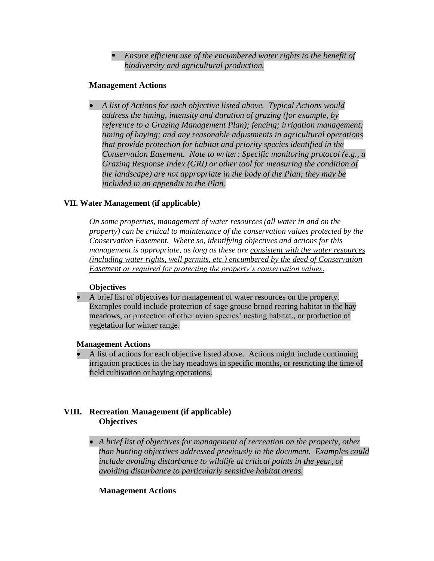*Ensure efficient use of the encumbered water rights to the benefit of biodiversity and agricultural production.*

### **Management Actions**

 *A list of Actions for each objective listed above. Typical Actions would address the timing, intensity and duration of grazing (for example, by reference to a Grazing Management Plan); fencing; irrigation management; timing of haying; and any reasonable adjustments in agricultural operations that provide protection for habitat and priority species identified in the Conservation Easement. Note to writer: Specific monitoring protocol (e.g., a Grazing Response Index (GRI) or other tool for measuring the condition of the landscape) are not appropriate in the body of the Plan; they may be included in an appendix to the Plan.*

### **VII. Water Management (if applicable)**

*On some properties, management of water resources (all water in and on the property) can be critical to maintenance of the conservation values protected by the Conservation Easement. Where so, identifying objectives and actions for this management is appropriate, as long as these are consistent with the water resources (including water rights, well permits, etc.) encumbered by the deed of Conservation Easement or required for protecting the property's conservation values.*

#### **Objectives**

 A brief list of objectives for management of water resources on the property. Examples could include protection of sage grouse brood rearing habitat in the hay meadows, or protection of other avian species' nesting habitat., or production of vegetation for winter range.

#### **Management Actions**

 A list of actions for each objective listed above. Actions might include continuing irrigation practices in the hay meadows in specific months, or restricting the time of field cultivation or haying operations.

# **VIII. Recreation Management (if applicable) Objectives**

 *A brief list of objectives for management of recreation on the property, other than hunting objectives addressed previously in the document. Examples could include avoiding disturbance to wildlife at critical points in the year, or avoiding disturbance to particularly sensitive habitat areas.*

### **Management Actions**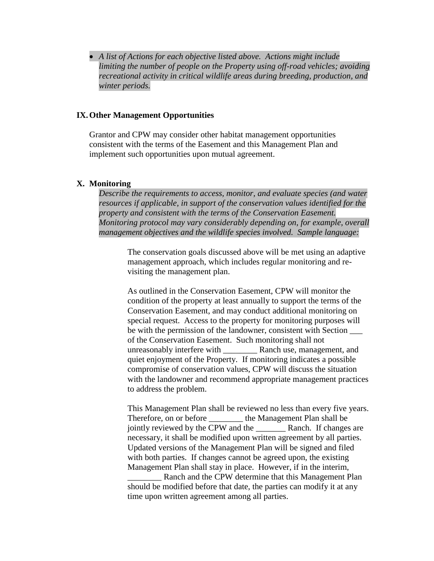*A list of Actions for each objective listed above. Actions might include limiting the number of people on the Property using off-road vehicles; avoiding recreational activity in critical wildlife areas during breeding, production, and winter periods.*

#### **IX.Other Management Opportunities**

Grantor and CPW may consider other habitat management opportunities consistent with the terms of the Easement and this Management Plan and implement such opportunities upon mutual agreement.

#### **X. Monitoring**

*Describe the requirements to access, monitor, and evaluate species (and water resources if applicable, in support of the conservation values identified for the property and consistent with the terms of the Conservation Easement. Monitoring protocol may vary considerably depending on, for example, overall management objectives and the wildlife species involved. Sample language:*

> The conservation goals discussed above will be met using an adaptive management approach, which includes regular monitoring and revisiting the management plan.

As outlined in the Conservation Easement, CPW will monitor the condition of the property at least annually to support the terms of the Conservation Easement, and may conduct additional monitoring on special request. Access to the property for monitoring purposes will be with the permission of the landowner, consistent with Section of the Conservation Easement. Such monitoring shall not unreasonably interfere with \_\_\_\_\_\_\_\_ Ranch use, management, and quiet enjoyment of the Property. If monitoring indicates a possible compromise of conservation values, CPW will discuss the situation with the landowner and recommend appropriate management practices to address the problem.

This Management Plan shall be reviewed no less than every five years. Therefore, on or before the Management Plan shall be jointly reviewed by the CPW and the Ranch. If changes are necessary, it shall be modified upon written agreement by all parties. Updated versions of the Management Plan will be signed and filed with both parties. If changes cannot be agreed upon, the existing Management Plan shall stay in place. However, if in the interim,

Ranch and the CPW determine that this Management Plan should be modified before that date, the parties can modify it at any time upon written agreement among all parties.